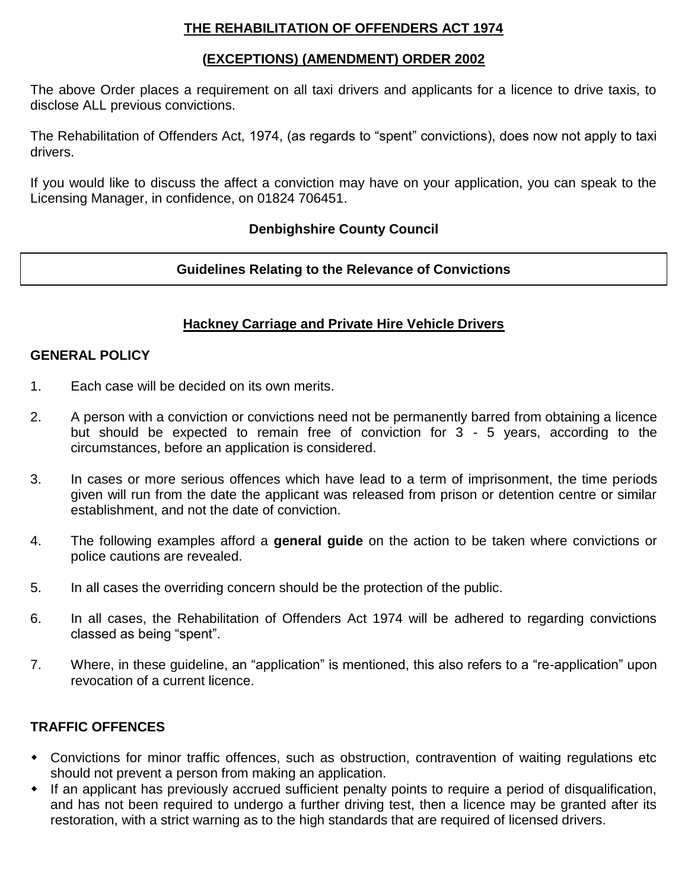### **THE REHABILITATION OF OFFENDERS ACT 1974**

#### **(EXCEPTIONS) (AMENDMENT) ORDER 2002**

The above Order places a requirement on all taxi drivers and applicants for a licence to drive taxis, to disclose ALL previous convictions.

The Rehabilitation of Offenders Act, 1974, (as regards to "spent" convictions), does now not apply to taxi drivers.

If you would like to discuss the affect a conviction may have on your application, you can speak to the Licensing Manager, in confidence, on 01824 706451.

### **Denbighshire County Council**

### **Guidelines Relating to the Relevance of Convictions**

#### **Hackney Carriage and Private Hire Vehicle Drivers**

#### **GENERAL POLICY**

- 1. Each case will be decided on its own merits.
- 2. A person with a conviction or convictions need not be permanently barred from obtaining a licence but should be expected to remain free of conviction for 3 - 5 years, according to the circumstances, before an application is considered.
- 3. In cases or more serious offences which have lead to a term of imprisonment, the time periods given will run from the date the applicant was released from prison or detention centre or similar establishment, and not the date of conviction.
- 4. The following examples afford a **general guide** on the action to be taken where convictions or police cautions are revealed.
- 5. In all cases the overriding concern should be the protection of the public.
- 6. In all cases, the Rehabilitation of Offenders Act 1974 will be adhered to regarding convictions classed as being "spent".
- 7. Where, in these guideline, an "application" is mentioned, this also refers to a "re-application" upon revocation of a current licence.

### **TRAFFIC OFFENCES**

- Convictions for minor traffic offences, such as obstruction, contravention of waiting regulations etc should not prevent a person from making an application.
- If an applicant has previously accrued sufficient penalty points to require a period of disqualification, and has not been required to undergo a further driving test, then a licence may be granted after its restoration, with a strict warning as to the high standards that are required of licensed drivers.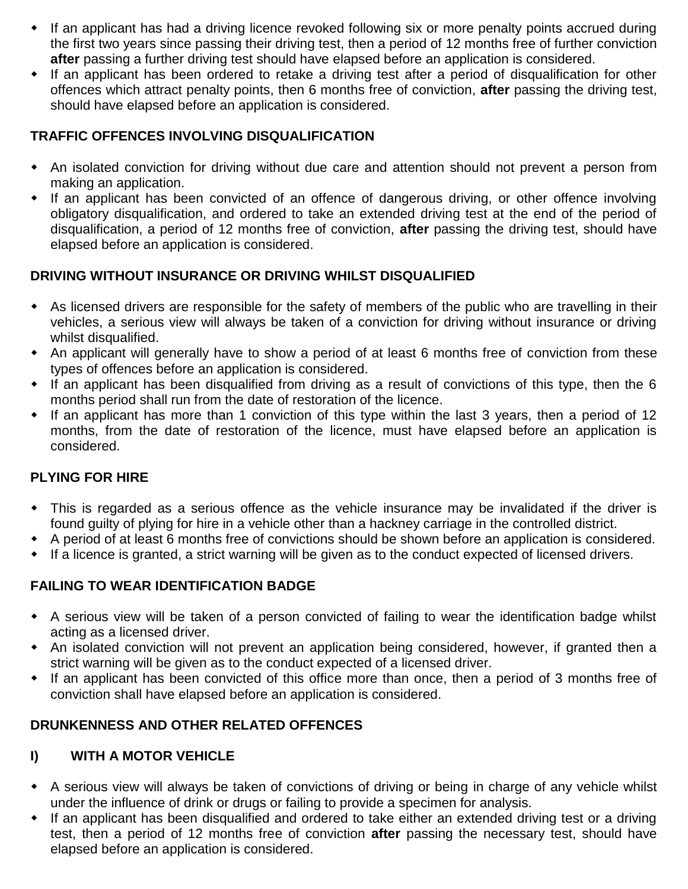- If an applicant has had a driving licence revoked following six or more penalty points accrued during the first two years since passing their driving test, then a period of 12 months free of further conviction **after** passing a further driving test should have elapsed before an application is considered.
- If an applicant has been ordered to retake a driving test after a period of disqualification for other offences which attract penalty points, then 6 months free of conviction, **after** passing the driving test, should have elapsed before an application is considered.

## **TRAFFIC OFFENCES INVOLVING DISQUALIFICATION**

- An isolated conviction for driving without due care and attention should not prevent a person from making an application.
- If an applicant has been convicted of an offence of dangerous driving, or other offence involving obligatory disqualification, and ordered to take an extended driving test at the end of the period of disqualification, a period of 12 months free of conviction, **after** passing the driving test, should have elapsed before an application is considered.

## **DRIVING WITHOUT INSURANCE OR DRIVING WHILST DISQUALIFIED**

- As licensed drivers are responsible for the safety of members of the public who are travelling in their vehicles, a serious view will always be taken of a conviction for driving without insurance or driving whilst disqualified.
- An applicant will generally have to show a period of at least 6 months free of conviction from these types of offences before an application is considered.
- If an applicant has been disqualified from driving as a result of convictions of this type, then the 6 months period shall run from the date of restoration of the licence.
- If an applicant has more than 1 conviction of this type within the last 3 years, then a period of 12 months, from the date of restoration of the licence, must have elapsed before an application is considered.

# **PLYING FOR HIRE**

- This is regarded as a serious offence as the vehicle insurance may be invalidated if the driver is found guilty of plying for hire in a vehicle other than a hackney carriage in the controlled district.
- A period of at least 6 months free of convictions should be shown before an application is considered.
- If a licence is granted, a strict warning will be given as to the conduct expected of licensed drivers.

# **FAILING TO WEAR IDENTIFICATION BADGE**

- A serious view will be taken of a person convicted of failing to wear the identification badge whilst acting as a licensed driver.
- An isolated conviction will not prevent an application being considered, however, if granted then a strict warning will be given as to the conduct expected of a licensed driver.
- If an applicant has been convicted of this office more than once, then a period of 3 months free of conviction shall have elapsed before an application is considered.

# **DRUNKENNESS AND OTHER RELATED OFFENCES**

# **I) WITH A MOTOR VEHICLE**

- A serious view will always be taken of convictions of driving or being in charge of any vehicle whilst under the influence of drink or drugs or failing to provide a specimen for analysis.
- If an applicant has been disqualified and ordered to take either an extended driving test or a driving test, then a period of 12 months free of conviction **after** passing the necessary test, should have elapsed before an application is considered.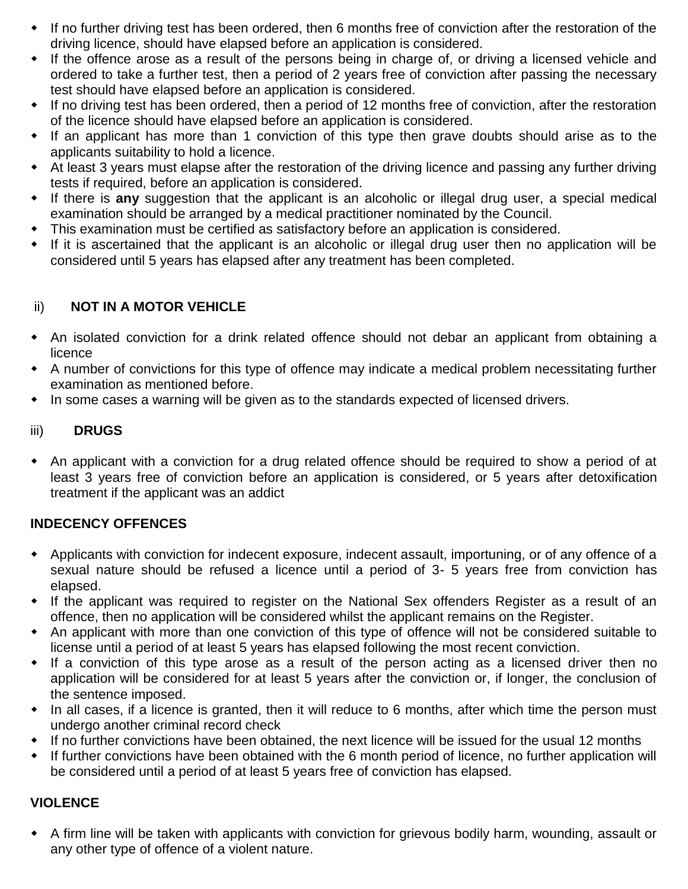- If no further driving test has been ordered, then 6 months free of conviction after the restoration of the driving licence, should have elapsed before an application is considered.
- If the offence arose as a result of the persons being in charge of, or driving a licensed vehicle and ordered to take a further test, then a period of 2 years free of conviction after passing the necessary test should have elapsed before an application is considered.
- If no driving test has been ordered, then a period of 12 months free of conviction, after the restoration of the licence should have elapsed before an application is considered.
- If an applicant has more than 1 conviction of this type then grave doubts should arise as to the applicants suitability to hold a licence.
- At least 3 years must elapse after the restoration of the driving licence and passing any further driving tests if required, before an application is considered.
- If there is **any** suggestion that the applicant is an alcoholic or illegal drug user, a special medical examination should be arranged by a medical practitioner nominated by the Council.
- This examination must be certified as satisfactory before an application is considered.
- If it is ascertained that the applicant is an alcoholic or illegal drug user then no application will be considered until 5 years has elapsed after any treatment has been completed.

### ii) **NOT IN A MOTOR VEHICLE**

- An isolated conviction for a drink related offence should not debar an applicant from obtaining a licence
- A number of convictions for this type of offence may indicate a medical problem necessitating further examination as mentioned before.
- In some cases a warning will be given as to the standards expected of licensed drivers.

### iii) **DRUGS**

 An applicant with a conviction for a drug related offence should be required to show a period of at least 3 years free of conviction before an application is considered, or 5 years after detoxification treatment if the applicant was an addict

### **INDECENCY OFFENCES**

- Applicants with conviction for indecent exposure, indecent assault, importuning, or of any offence of a sexual nature should be refused a licence until a period of 3- 5 years free from conviction has elapsed.
- If the applicant was required to register on the National Sex offenders Register as a result of an offence, then no application will be considered whilst the applicant remains on the Register.
- An applicant with more than one conviction of this type of offence will not be considered suitable to license until a period of at least 5 years has elapsed following the most recent conviction.
- If a conviction of this type arose as a result of the person acting as a licensed driver then no application will be considered for at least 5 years after the conviction or, if longer, the conclusion of the sentence imposed.
- In all cases, if a licence is granted, then it will reduce to 6 months, after which time the person must undergo another criminal record check
- If no further convictions have been obtained, the next licence will be issued for the usual 12 months
- If further convictions have been obtained with the 6 month period of licence, no further application will be considered until a period of at least 5 years free of conviction has elapsed.

### **VIOLENCE**

 A firm line will be taken with applicants with conviction for grievous bodily harm, wounding, assault or any other type of offence of a violent nature.